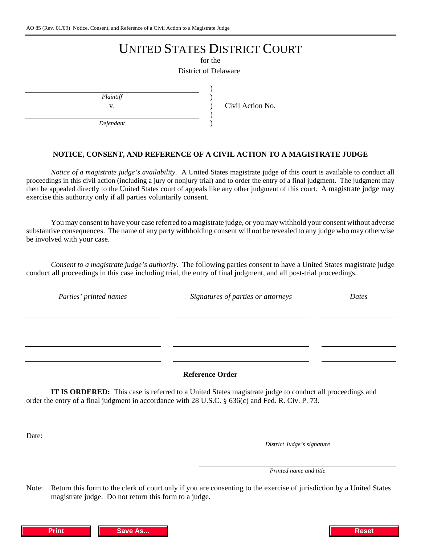# UNITED STATES DISTRICT COURT

for the

) ) ) ) )

District of Delaware

*Plaintiff*

v. Civil Action No.

*Defendant*

### **NOTICE, CONSENT, AND REFERENCE OF A CIVIL ACTION TO A MAGISTRATE JUDGE**

*Notice of a magistrate judge's availability*. A United States magistrate judge of this court is available to conduct all proceedings in this civil action (including a jury or nonjury trial) and to order the entry of a final judgment. The judgment may then be appealed directly to the United States court of appeals like any other judgment of this court. A magistrate judge may exercise this authority only if all parties voluntarily consent.

You may consent to have your case referred to a magistrate judge, or you may withhold your consent without adverse substantive consequences. The name of any party withholding consent will not be revealed to any judge who may otherwise be involved with your case.

*Consent to a magistrate judge's authority.* The following parties consent to have a United States magistrate judge conduct all proceedings in this case including trial, the entry of final judgment, and all post-trial proceedings.

| Parties' printed names | Signatures of parties or attorneys | Dates |
|------------------------|------------------------------------|-------|
|                        |                                    |       |
|                        |                                    |       |
|                        |                                    |       |
|                        |                                    |       |
|                        |                                    |       |

#### **Reference Order**

**IT IS ORDERED:** This case is referred to a United States magistrate judge to conduct all proceedings and order the entry of a final judgment in accordance with 28 U.S.C. § 636(c) and Fed. R. Civ. P. 73.

Date:

*District Judge's signature*

*Printed name and title*

Note: Return this form to the clerk of court only if you are consenting to the exercise of jurisdiction by a United States magistrate judge. Do not return this form to a judge.